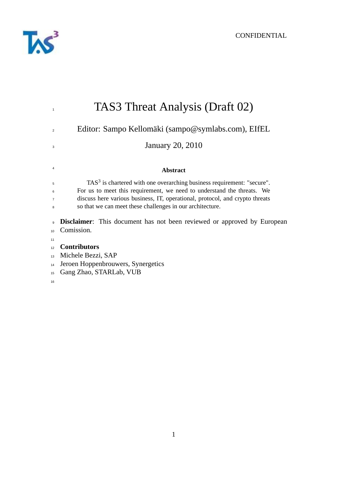

| $\overline{1}$ | TAS3 Threat Analysis (Draft 02)                                                    |  |  |
|----------------|------------------------------------------------------------------------------------|--|--|
| $\overline{2}$ | Editor: Sampo Kellomäki (sampo@symlabs.com), EIfEL                                 |  |  |
| 3              | <b>January 20, 2010</b>                                                            |  |  |
| $\overline{4}$ | <b>Abstract</b>                                                                    |  |  |
| 5              | TAS <sup>3</sup> is chartered with one overarching business requirement: "secure". |  |  |
| 6              | For us to meet this requirement, we need to understand the threats. We             |  |  |
| $\overline{7}$ | discuss here various business, IT, operational, protocol, and crypto threats       |  |  |
| 8              | so that we can meet these challenges in our architecture.                          |  |  |
| 9              | <b>Disclaimer:</b> This document has not been reviewed or approved by European     |  |  |
| 10             | Comission.                                                                         |  |  |
| 11             |                                                                                    |  |  |
| 12             | <b>Contributors</b>                                                                |  |  |
| 13             | Michele Bezzi, SAP                                                                 |  |  |
| 14             | Jeroen Hoppenbrouwers, Synergetics                                                 |  |  |
| 15             | Gang Zhao, STARLab, VUB                                                            |  |  |
| 16             |                                                                                    |  |  |
|                |                                                                                    |  |  |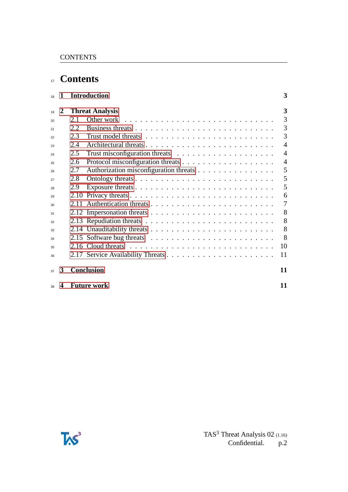# <sup>17</sup> **Contents**

| 18 | 1 | <b>Introduction</b> |                                                                                    | 3              |
|----|---|---------------------|------------------------------------------------------------------------------------|----------------|
| 19 | 2 |                     | <b>Threat Analysis</b>                                                             | 3              |
| 20 |   | 2.1                 |                                                                                    | 3              |
| 21 |   | 2.2                 |                                                                                    | 3              |
| 22 |   | 2.3                 |                                                                                    | 3              |
| 23 |   | 2.4                 |                                                                                    | 4              |
| 24 |   | 2.5                 |                                                                                    | 4              |
| 25 |   | 2.6                 |                                                                                    | $\overline{A}$ |
| 26 |   | 2.7                 | Authorization misconfiguration threats                                             | 5              |
| 27 |   | 2.8                 |                                                                                    | 5              |
| 28 |   | 2.9                 |                                                                                    | 5              |
| 29 |   | 2.10                |                                                                                    | 6              |
| 30 |   |                     |                                                                                    | 7              |
| 31 |   |                     | 2.12 Impersonation threats $\dots \dots \dots \dots \dots \dots \dots \dots \dots$ | 8              |
| 32 |   |                     |                                                                                    | 8              |
| 33 |   |                     |                                                                                    | 8              |
| 34 |   |                     |                                                                                    | 8              |
| 35 |   |                     |                                                                                    | 10             |
| 36 |   |                     |                                                                                    | 11             |
| 37 | 3 |                     | <b>Conclusion</b>                                                                  | 11             |
| 38 | 4 |                     | <b>Future work</b>                                                                 | 11             |

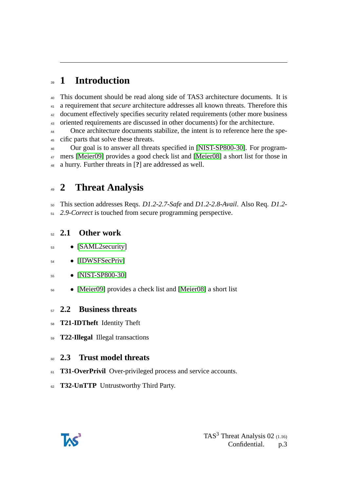# <span id="page-2-0"></span>**1 Introduction**

 This document should be read along side of TAS3 architecture documents. It is a requirement that *secure* architecture addresses all known threats. Therefore this document effectively specifies security related requirements (other more business oriented requirements are discussed in other documents) for the architecture.

<sup>44</sup> Once architecture documents stabilize, the intent is to reference here the spe-cific parts that solve these threats.

 Our goal is to answer all threats specified in [\[NIST-SP800-30\]](#page-11-0). For program- mers [\[Meier09\]](#page-11-1) provides a good check list and [\[Meier08\]](#page-11-2) a short list for those in a hurry. Further threats in [**?**] are addressed as well.

## <span id="page-2-1"></span>**2 Threat Analysis**

This section addresses Reqs. *D1.2-2.7-Safe* and *D1.2-2.8-Avail*. Also Req. *D1.2-*

*2.9-Correct* is touched from secure programming perspective.

## <span id="page-2-2"></span>**2.1 Other work**

- [\[SAML2security\]](#page-11-3)
- [\[IDWSFSecPriv\]](#page-11-4)
- [\[NIST-SP800-30\]](#page-11-0)
- [\[Meier09\]](#page-11-1) provides a check list and [\[Meier08\]](#page-11-2) a short list

### <span id="page-2-3"></span>**2.2 Business threats**

- **T21-IDTheft** Identity Theft
- **T22-Illegal** Illegal transactions

## <span id="page-2-4"></span>**2.3 Trust model threats**

- <sup>61</sup> **T31-OverPrivil** Over-privileged process and service accounts.
- **T32-UnTTP** Untrustworthy Third Party.

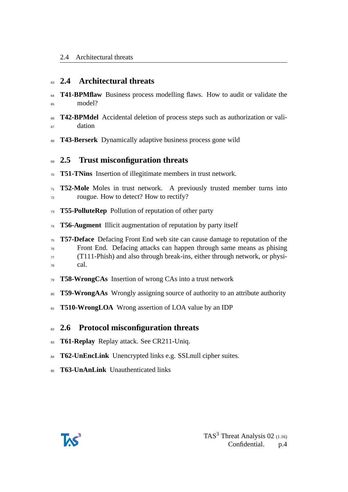### <span id="page-3-0"></span>**2.4 Architectural threats**

- **T41-BPMflaw** Business process modelling flaws. How to audit or validate the model?
- **T42-BPMdel** Accidental deletion of process steps such as authorization or vali-<sup>67</sup> dation
- **T43-Berserk** Dynamically adaptive business process gone wild

### <span id="page-3-1"></span>**2.5 Trust misconfiguration threats**

- **T51-TNins** Insertion of illegitimate members in trust network.
- **T52-Mole** Moles in trust network. A previously trusted member turns into rougue. How to detect? How to rectify?
- **T55-PolluteRep** Pollution of reputation of other party
- **T56-Augment** Illicit augmentation of reputation by party itself
- **T57-Deface** Defacing Front End web site can cause damage to reputation of the Front End. Defacing attacks can happen through same means as phising (T111-Phish) and also through break-ins, either through network, or physi-cal.
- **T58-WrongCAs** Insertion of wrong CAs into a trust network
- **T59-WrongAAs** Wrongly assigning source of authority to an attribute authority
- **T510-WrongLOA** Wrong assertion of LOA value by an IDP

### <span id="page-3-2"></span>**2.6 Protocol misconfiguration threats**

- **T61-Replay** Replay attack. See CR211-Uniq.
- **T62-UnEncLink** Unencrypted links e.g. SSLnull cipher suites.
- **T63-UnAnLink** Unauthenticated links

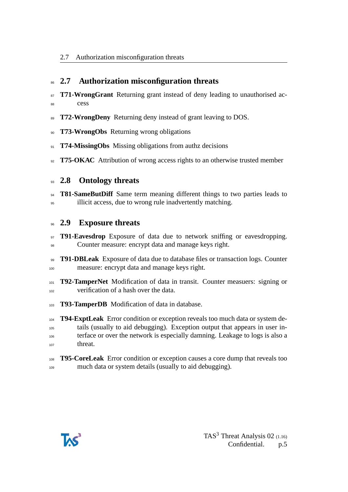## <span id="page-4-0"></span>**2.7 Authorization misconfiguration threats**

- **T71-WrongGrant** Returning grant instead of deny leading to unauthorised ac-88 cess
- **T72-WrongDeny** Returning deny instead of grant leaving to DOS.
- **T73-WrongObs** Returning wrong obligations
- **T74-MissingObs** Missing obligations from authz decisions
- <sup>92</sup> **T75-OKAC** Attribution of wrong access rights to an otherwise trusted member

### <span id="page-4-1"></span>**2.8 Ontology threats**

**T81-SameButDiff** Same term meaning different things to two parties leads to <sup>95</sup> illicit access, due to wrong rule inadvertently matching.

#### <span id="page-4-2"></span>**2.9 Exposure threats**

- **T91-Eavesdrop** Exposure of data due to network sniffing or eavesdropping. Counter measure: encrypt data and manage keys right.
- **T91-DBLeak** Exposure of data due to database files or transaction logs. Counter measure: encrypt data and manage keys right.
- **T92-TamperNet** Modification of data in transit. Counter measuers: signing or verification of a hash over the data.
- **T93-TamperDB** Modification of data in database.

 **T94-ExptLeak** Error condition or exception reveals too much data or system de- tails (usually to aid debugging). Exception output that appears in user in- terface or over the network is especially damning. Leakage to logs is also a threat.

#### **T95-CoreLeak** Error condition or exception causes a core dump that reveals too much data or system details (usually to aid debugging).

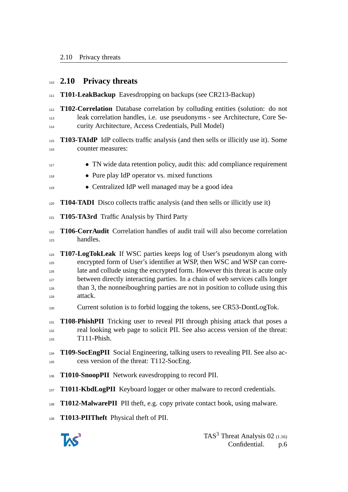#### <span id="page-5-0"></span>**2.10 Privacy threats**

- **T101-LeakBackup** Eavesdropping on backups (see CR213-Backup)
- **T102-Correlation** Database correlation by colluding entities (solution: do not leak correlation handles, i.e. use pseudonyms - see Architecture, Core Se-curity Architecture, Access Credentials, Pull Model)
- **T103-TAIdP** IdP collects traffic analysis (and then sells or illicitly use it). Some counter measures:
- TN wide data retention policy, audit this: add compliance requirement
- Pure play IdP operator vs. mixed functions
- Centralized IdP well managed may be a good idea
- **T104-TADI** Disco collects traffic analysis (and then sells or illicitly use it)
- **T105-TA3rd** Traffic Analysis by Third Party
- **T106-CorrAudit** Correlation handles of audit trail will also become correlation handles.
- **T107-LogTokLeak** If WSC parties keeps log of User's pseudonym along with encrypted form of User's identifier at WSP, then WSC and WSP can corre-126 late and collude using the encrypted form. However this threat is acute only <sup>127</sup> between directly interacting parties. In a chain of web services calls longer than 3, the nonneiboughring parties are not in position to collude using this attack.
- 130 Current solution is to forbid logging the tokens, see CR53-DontLogTok.
- **T108-PhishPII** Tricking user to reveal PII through phising attack that poses a real looking web page to solicit PII. See also access version of the threat: T111-Phish.
- **T109-SocEngPII** Social Engineering, talking users to revealing PII. See also ac-cess version of the threat: T112-SocEng.
- **T1010-SnoopPII** Network eavesdropping to record PII.
- **T1011-KbdLogPII** Keyboard logger or other malware to record credentials.
- **T1012-MalwarePII** PII theft, e.g. copy private contact book, using malware.
- **T1013-PIITheft** Physical theft of PII.

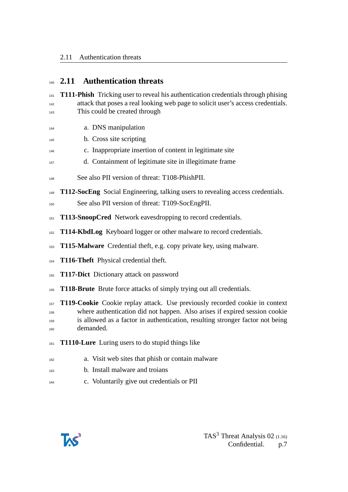## <span id="page-6-0"></span>**2.11 Authentication threats**

 **T111-Phish** Tricking user to reveal his authentication credentials through phising attack that poses a real looking web page to solicit user's access credentials. This could be created through

- a. DNS manipulation
- b. Cross site scripting
- c. Inappropriate insertion of content in legitimate site
- d. Containment of legitimate site in illegitimate frame
- See also PII version of threat: T108-PhishPII.
- **T112-SocEng** Social Engineering, talking users to revealing access credentials.
- See also PII version of threat: T109-SocEngPII.
- **151 T113-SnoopCred** Network eavesdropping to record credentials.
- **T114-KbdLog** Keyboard logger or other malware to record credentials.
- **T115-Malware** Credential theft, e.g. copy private key, using malware.
- **T116-Theft** Physical credential theft.
- **T117-Dict** Dictionary attack on password
- **T118-Brute** Brute force attacks of simply trying out all credentials.

 **T119-Cookie** Cookie replay attack. Use previously recorded cookie in context where authentication did not happen. Also arises if expired session cookie is allowed as a factor in authentication, resulting stronger factor not being demanded.

- **T1110-Lure** Luring users to do stupid things like
- a. Visit web sites that phish or contain malware
- b. Install malware and troians
- c. Voluntarily give out credentials or PII

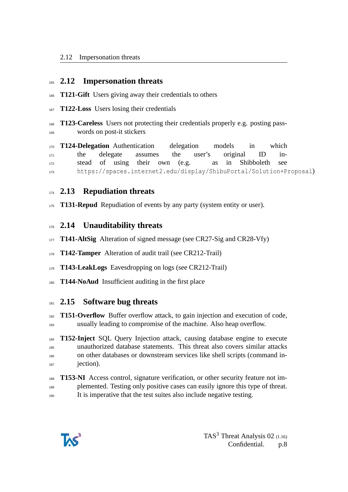#### <span id="page-7-0"></span>**2.12 Impersonation threats**

- **T121-Gift** Users giving away their credentials to others
- **T122-Loss** Users losing their credentials
- **T123-Careless** Users not protecting their credentials properly e.g. posting pass-words on post-it stickers

 **T124-Delegation** Authentication delegation models in which the delegate assumes the user's original ID in- stead of using their own (e.g. as in Shibboleth see https://spaces.internet2.edu/display/ShibuPortal/Solution+Proposal)

### <span id="page-7-1"></span>**2.13 Repudiation threats**

**T131-Repud** Repudiation of events by any party (system entity or user).

#### <span id="page-7-2"></span>**2.14 Unauditability threats**

- **T141-AltSig** Alteration of signed message (see CR27-Sig and CR28-Vfy)
- **T142-Tamper** Alteration of audit trail (see CR212-Trail)
- **T143-LeakLogs** Eavesdropping on logs (see CR212-Trail)
- **T144-NoAud** Insufficient auditing in the first place

#### <span id="page-7-3"></span>**2.15 Software bug threats**

 **T151-Overflow** Buffer overflow attack, to gain injection and execution of code, usually leading to compromise of the machine. Also heap overflow.

 **T152-Inject** SQL Query Injection attack, causing database engine to execute unauthorized database statements. This threat also covers similar attacks on other databases or downstream services like shell scripts (command in-jection).

 **T153-NI** Access control, signature verification, or other security feature not im-189 plemented. Testing only positive cases can easily ignore this type of threat. It is imperative that the test suites also include negative testing.

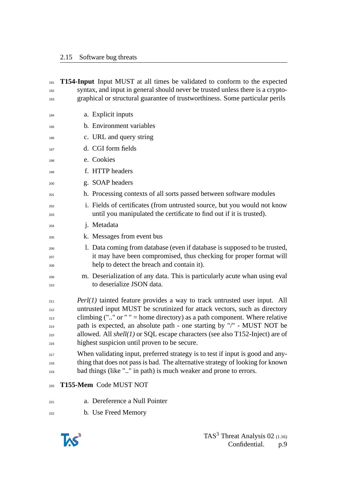#### 2.15 Software bug threats

| 191        |                                                                                | <b>T154-Input</b> Input MUST at all times be validated to conform to the expected                                              |  |  |
|------------|--------------------------------------------------------------------------------|--------------------------------------------------------------------------------------------------------------------------------|--|--|
| 192        | syntax, and input in general should never be trusted unless there is a crypto- |                                                                                                                                |  |  |
| 193        |                                                                                | graphical or structural guarantee of trustworthiness. Some particular perils                                                   |  |  |
| 194        |                                                                                | a. Explicit inputs                                                                                                             |  |  |
| 195        |                                                                                | b. Environment variables                                                                                                       |  |  |
| 196        |                                                                                | c. URL and query string                                                                                                        |  |  |
| 197        |                                                                                | d. CGI form fields                                                                                                             |  |  |
| 198        |                                                                                | e. Cookies                                                                                                                     |  |  |
| 199        |                                                                                | f. HTTP headers                                                                                                                |  |  |
| 200        |                                                                                | g. SOAP headers                                                                                                                |  |  |
| 201        |                                                                                | h. Processing contexts of all sorts passed between software modules                                                            |  |  |
| 202        |                                                                                | i. Fields of certificates (from untrusted source, but you would not know                                                       |  |  |
| 203        |                                                                                | until you manipulated the certificate to find out if it is trusted).                                                           |  |  |
| 204        |                                                                                | j. Metadata                                                                                                                    |  |  |
| 205        |                                                                                | k. Messages from event bus                                                                                                     |  |  |
| 206        |                                                                                | 1. Data coming from database (even if database is supposed to be trusted,                                                      |  |  |
| 207<br>208 |                                                                                | it may have been compromised, thus checking for proper format will<br>help to detect the breach and contain it).               |  |  |
|            |                                                                                | m. Deserialization of any data. This is particularly acute whan using eval                                                     |  |  |
| 209<br>210 |                                                                                | to deserialize JSON data.                                                                                                      |  |  |
| 211        |                                                                                | $Perl(1)$ tainted feature provides a way to track untrusted user input. All                                                    |  |  |
| 212        |                                                                                | untrusted input MUST be scrutinized for attack vectors, such as directory                                                      |  |  |
| 213        | climbing ("" or " " = home directory) as a path component. Where relative      |                                                                                                                                |  |  |
| 214        | path is expected, an absolute path - one starting by "/" - MUST NOT be         |                                                                                                                                |  |  |
| 215<br>216 |                                                                                | allowed. All $shell(1)$ or SQL escape characters (see also T152-Inject) are of<br>highest suspicion until proven to be secure. |  |  |
|            |                                                                                | When validating input, preferred strategy is to test if input is good and any-                                                 |  |  |
| 217<br>218 |                                                                                | thing that does not pass is bad. The alternative strategy of looking for known                                                 |  |  |
| 219        |                                                                                | bad things (like "" in path) is much weaker and prone to errors.                                                               |  |  |
| 220        |                                                                                | T155-Mem Code MUST NOT                                                                                                         |  |  |
| 221        |                                                                                | a. Dereference a Null Pointer                                                                                                  |  |  |
| 222        |                                                                                | b. Use Freed Memory                                                                                                            |  |  |

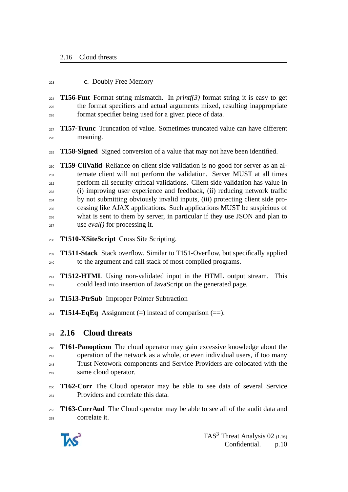#### c. Doubly Free Memory

**T156-Fmt** Format string mismatch. In *printf(3)* format string it is easy to get the format specifiers and actual arguments mixed, resulting inappropriate format specifier being used for a given piece of data.

- **T157-Trunc** Truncation of value. Sometimes truncated value can have different meaning.
- **T158-Signed** Signed conversion of a value that may not have been identified.

 **T159-CliValid** Reliance on client side validation is no good for server as an al- ternate client will not perform the validation. Server MUST at all times perform all security critical validations. Client side validation has value in (i) improving user experience and feedback, (ii) reducing network traffic by not submitting obviously invalid inputs, (iii) protecting client side pro- cessing like AJAX applications. Such applications MUST be suspicious of what is sent to them by server, in particular if they use JSON and plan to use *eval()* for processing it.

**T1510-XSiteScript** Cross Site Scripting.

 **T1511-Stack** Stack overflow. Similar to T151-Overflow, but specifically applied to the argument and call stack of most compiled programs.

- <sup>241</sup> **T1512-HTML** Using non-validated input in the HTML output stream. This could lead into insertion of JavaScript on the generated page.
- **T1513-PtrSub** Improper Pointer Subtraction
- **T1514-EqEq** Assignment  $(=)$  instead of comparison  $(==)$ .

### <span id="page-9-0"></span>**2.16 Cloud threats**

 **T161-Panopticon** The cloud operator may gain excessive knowledge about the  $_{247}$  operation of the network as a whole, or even individual users, if too many Trust Netowork components and Service Providers are colocated with the same cloud operator.

 **T162-Corr** The Cloud operator may be able to see data of several Service Providers and correlate this data.

 **T163-CorrAud** The Cloud operator may be able to see all of the audit data and correlate it.

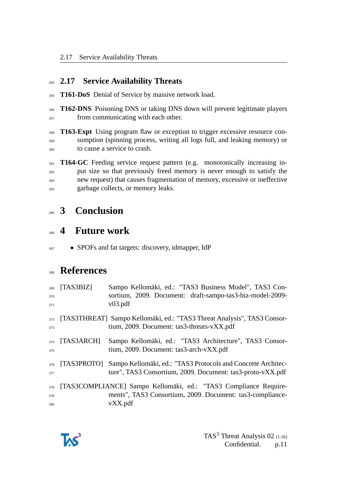### <span id="page-10-0"></span>**2.17 Service Availability Threats**

- **T161-DoS** Denial of Service by massive network load.
- **T162-DNS** Poisoning DNS or taking DNS down will prevent legitimate players <sup>257</sup> from communicating with each other.

 **T163-Expt** Using program flaw or exception to trigger excessive resource con- sumption (spinning process, writing all logs full, and leaking memory) or to cause a service to crash.

 **T164-GC** Feeding service request pattern (e.g. monotonically increasing in- put size so that previously freed memory is never enough to satisfy the new request) that causes fragmentation of memory, excessive or ineffective garbage collects, or memory leaks.

## <span id="page-10-1"></span>**3 Conclusion**

## <span id="page-10-2"></span>**4 Future work**

• SPOFs and fat targets: discovery, idmapper, IdP

## **References**

| 269<br>270<br>271 | [TAS3BIZ]   | Sampo Kellomäki, ed.: "TAS3 Business Model", TAS3 Con-<br>sortium, 2009. Document: draft-sampo-tas3-biz-model-2009-<br>v03.pdf           |
|-------------------|-------------|------------------------------------------------------------------------------------------------------------------------------------------|
| 272<br>273        |             | [TAS3THREAT] Sampo Kellomäki, ed.: "TAS3 Threat Analysis", TAS3 Consor-<br>tium, 2009. Document: tas3-threats-vXX.pdf                    |
| 274<br>275        | [TAS3ARCH]  | Sampo Kellomäki, ed.: "TAS3 Architecture", TAS3 Consor-<br>tium, 2009. Document: tas3-arch-vXX.pdf                                       |
| 276<br>277        | [TAS3PROTO] | Sampo Kellomäki, ed.: "TAS3 Protocols and Concrete Architec-<br>ture", TAS3 Consortium, 2009. Document: tas3-proto-vXX.pdf               |
| 278<br>279<br>280 |             | [TAS3COMPLIANCE] Sampo Kellomäki, ed.: "TAS3 Compliance Require-<br>ments", TAS3 Consortium, 2009. Document: tas3-compliance-<br>vXX.pdf |

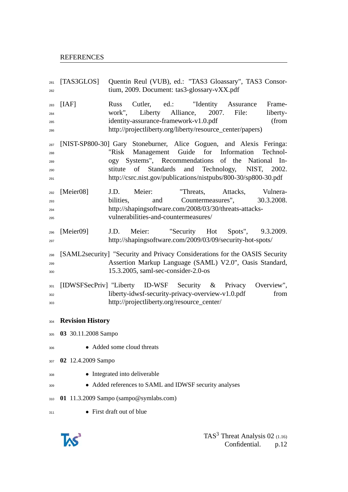<span id="page-11-3"></span><span id="page-11-2"></span><span id="page-11-1"></span><span id="page-11-0"></span> [TAS3GLOS] Quentin Reul (VUB), ed.: "TAS3 Gloassary", TAS3 Consor- tium, 2009. Document: tas3-glossary-vXX.pdf [IAF] Russ Cutler, ed.: "Identity Assurance Frame- work", Liberty Alliance, 2007. File: liberty- identity-assurance-framework-v1.0.pdf (from http://projectliberty.org/liberty/resource\_center/papers) [NIST-SP800-30] Gary Stoneburner, Alice Goguen, and Alexis Feringa: "Risk Management Guide for Information Technol- ogy Systems", Recommendations of the National In- stitute of Standards and Technology, NIST, 2002. http://csrc.nist.gov/publications/nistpubs/800-30/sp800-30.pdf [Meier08] J.D. Meier: "Threats, Attacks, Vulnera- bilities, and Countermeasures", 30.3.2008. http://shapingsoftware.com/2008/03/30/threats-attacks- vulnerabilities-and-countermeasures/ [Meier09] J.D. Meier: "Security Hot Spots", 9.3.2009. http://shapingsoftware.com/2009/03/09/security-hot-spots/ [SAML2security] "Security and Privacy Considerations for the OASIS Security Assertion Markup Language (SAML) V2.0", Oasis Standard, 15.3.2005, saml-sec-consider-2.0-os 301 [IDWSFSecPriv] "Liberty ID-WSF Security & Privacy Overview", <sup>302</sup> liberty-idwsf-security-privacy-overview-v1.0.pdf from http://projectliberty.org/resource\_center/ **Revision History 03** 30.11.2008 Sampo • Added some cloud threats **02** 12.4.2009 Sampo • Integrated into deliverable • Added references to SAML and IDWSF security analyses **01** 11.3.2009 Sampo (sampo@symlabs.com) • First draft out of blue

<span id="page-11-4"></span>